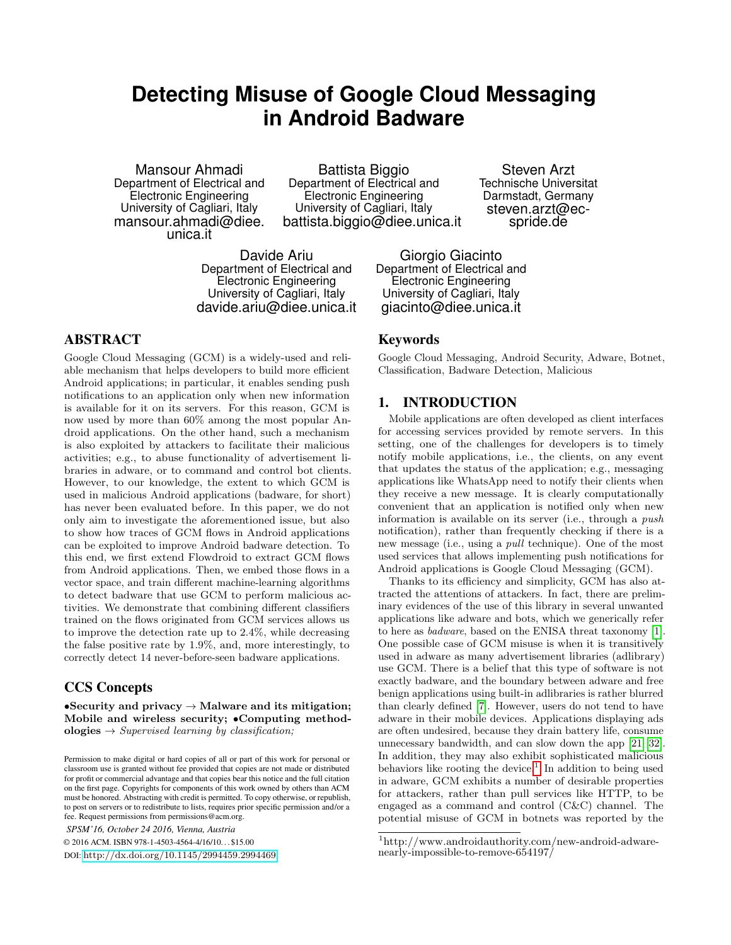# **Detecting Misuse of Google Cloud Messaging in Android Badware**

Mansour Ahmadi Department of Electrical and Electronic Engineering University of Cagliari, Italy mansour.ahmadi@diee. unica.it

Battista Biggio Department of Electrical and Electronic Engineering University of Cagliari, Italy battista.biggio@diee.unica.it

Davide Ariu Department of Electrical and Electronic Engineering University of Cagliari, Italy davide.ariu@diee.unica.it

# ABSTRACT

Google Cloud Messaging (GCM) is a widely-used and reliable mechanism that helps developers to build more efficient Android applications; in particular, it enables sending push notifications to an application only when new information is available for it on its servers. For this reason, GCM is now used by more than 60% among the most popular Android applications. On the other hand, such a mechanism is also exploited by attackers to facilitate their malicious activities; e.g., to abuse functionality of advertisement libraries in adware, or to command and control bot clients. However, to our knowledge, the extent to which GCM is used in malicious Android applications (badware, for short) has never been evaluated before. In this paper, we do not only aim to investigate the aforementioned issue, but also to show how traces of GCM flows in Android applications can be exploited to improve Android badware detection. To this end, we first extend Flowdroid to extract GCM flows from Android applications. Then, we embed those flows in a vector space, and train different machine-learning algorithms to detect badware that use GCM to perform malicious activities. We demonstrate that combining different classifiers trained on the flows originated from GCM services allows us to improve the detection rate up to 2.4%, while decreasing the false positive rate by 1.9%, and, more interestingly, to correctly detect 14 never-before-seen badware applications.

# CCS Concepts

•Security and privacy  $\rightarrow$  Malware and its mitigation; Mobile and wireless security; •Computing methodologies  $\rightarrow$  Supervised learning by classification;

*SPSM'16, October 24 2016, Vienna, Austria*

DOI: <http://dx.doi.org/10.1145/2994459.2994469>

Steven Arzt Technische Universitat Darmstadt, Germany steven.arzt@ecspride.de

Giorgio Giacinto Department of Electrical and Electronic Engineering University of Cagliari, Italy giacinto@diee.unica.it

#### Keywords

Google Cloud Messaging, Android Security, Adware, Botnet, Classification, Badware Detection, Malicious

## 1. INTRODUCTION

Mobile applications are often developed as client interfaces for accessing services provided by remote servers. In this setting, one of the challenges for developers is to timely notify mobile applications, i.e., the clients, on any event that updates the status of the application; e.g., messaging applications like WhatsApp need to notify their clients when they receive a new message. It is clearly computationally convenient that an application is notified only when new information is available on its server (i.e., through a push notification), rather than frequently checking if there is a new message (i.e., using a pull technique). One of the most used services that allows implementing push notifications for Android applications is Google Cloud Messaging (GCM).

Thanks to its efficiency and simplicity, GCM has also attracted the attentions of attackers. In fact, there are preliminary evidences of the use of this library in several unwanted applications like adware and bots, which we generically refer to here as badware, based on the ENISA threat taxonomy [\[1\]](#page-8-0). One possible case of GCM misuse is when it is transitively used in adware as many advertisement libraries (adlibrary) use GCM. There is a belief that this type of software is not exactly badware, and the boundary between adware and free benign applications using built-in adlibraries is rather blurred than clearly defined [\[7\]](#page-8-1). However, users do not tend to have adware in their mobile devices. Applications displaying ads are often undesired, because they drain battery life, consume unnecessary bandwidth, and can slow down the app [\[21,](#page-9-0) [32\]](#page-9-1). In addition, they may also exhibit sophisticated malicious behaviors like rooting the device.<sup>[1](#page-0-0)</sup> In addition to being used in adware, GCM exhibits a number of desirable properties for attackers, rather than pull services like HTTP, to be engaged as a command and control (C&C) channel. The potential misuse of GCM in botnets was reported by the

Permission to make digital or hard copies of all or part of this work for personal or classroom use is granted without fee provided that copies are not made or distributed for profit or commercial advantage and that copies bear this notice and the full citation on the first page. Copyrights for components of this work owned by others than ACM must be honored. Abstracting with credit is permitted. To copy otherwise, or republish, to post on servers or to redistribute to lists, requires prior specific permission and/or a fee. Request permissions from permissions@acm.org.

<sup>© 2016</sup> ACM. ISBN 978-1-4503-4564-4/16/10. . . \$15.00

<span id="page-0-0"></span><sup>1</sup>http://www.androidauthority.com/new-android-adwarenearly-impossible-to-remove-654197/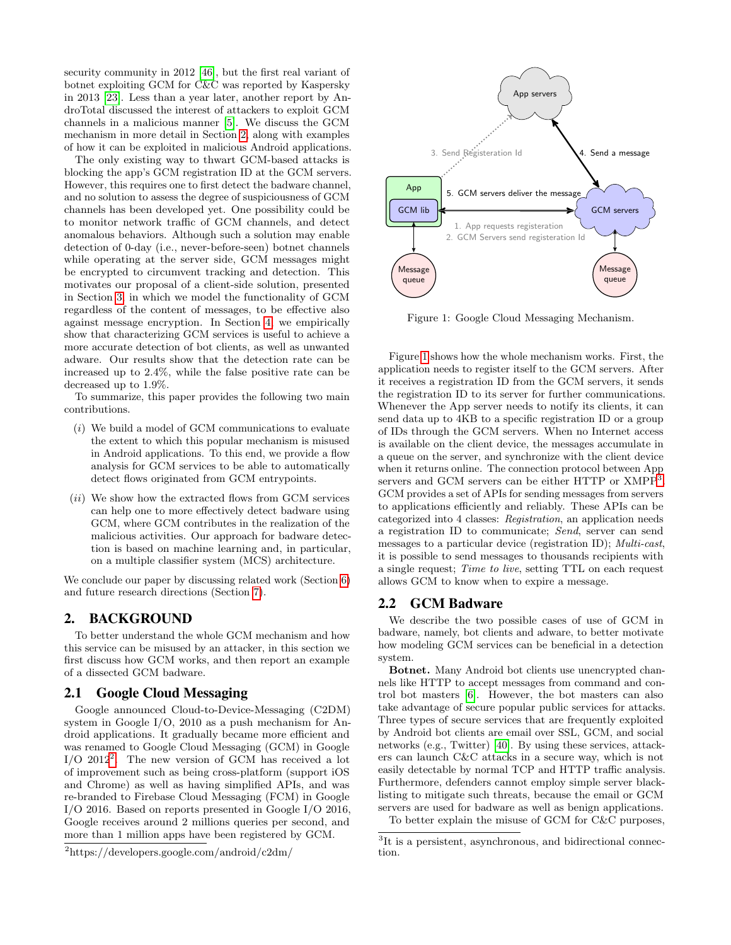security community in 2012 [\[46\]](#page-9-2), but the first real variant of botnet exploiting GCM for C&C was reported by Kaspersky in 2013 [\[23\]](#page-9-3). Less than a year later, another report by AndroTotal discussed the interest of attackers to exploit GCM channels in a malicious manner [\[5\]](#page-8-2). We discuss the GCM mechanism in more detail in Section [2,](#page-1-0) along with examples of how it can be exploited in malicious Android applications.

The only existing way to thwart GCM-based attacks is blocking the app's GCM registration ID at the GCM servers. However, this requires one to first detect the badware channel, and no solution to assess the degree of suspiciousness of GCM channels has been developed yet. One possibility could be to monitor network traffic of GCM channels, and detect anomalous behaviors. Although such a solution may enable detection of 0-day (i.e., never-before-seen) botnet channels while operating at the server side, GCM messages might be encrypted to circumvent tracking and detection. This motivates our proposal of a client-side solution, presented in Section [3,](#page-2-0) in which we model the functionality of GCM regardless of the content of messages, to be effective also against message encryption. In Section [4,](#page-4-0) we empirically show that characterizing GCM services is useful to achieve a more accurate detection of bot clients, as well as unwanted adware. Our results show that the detection rate can be increased up to 2.4%, while the false positive rate can be decreased up to 1.9%.

To summarize, this paper provides the following two main contributions.

- (i) We build a model of GCM communications to evaluate the extent to which this popular mechanism is misused in Android applications. To this end, we provide a flow analysis for GCM services to be able to automatically detect flows originated from GCM entrypoints.
- $(ii)$  We show how the extracted flows from GCM services can help one to more effectively detect badware using GCM, where GCM contributes in the realization of the malicious activities. Our approach for badware detection is based on machine learning and, in particular, on a multiple classifier system (MCS) architecture.

We conclude our paper by discussing related work (Section [6\)](#page-7-0) and future research directions (Section [7\)](#page-8-3).

# <span id="page-1-0"></span>2. BACKGROUND

To better understand the whole GCM mechanism and how this service can be misused by an attacker, in this section we first discuss how GCM works, and then report an example of a dissected GCM badware.

#### 2.1 Google Cloud Messaging

Google announced Cloud-to-Device-Messaging (C2DM) system in Google I/O, 2010 as a push mechanism for Android applications. It gradually became more efficient and was renamed to Google Cloud Messaging (GCM) in Google  $I/O$  [2](#page-1-1)012<sup>2</sup>. The new version of GCM has received a lot of improvement such as being cross-platform (support iOS and Chrome) as well as having simplified APIs, and was re-branded to Firebase Cloud Messaging (FCM) in Google I/O 2016. Based on reports presented in Google I/O 2016, Google receives around 2 millions queries per second, and more than 1 million apps have been registered by GCM.

<span id="page-1-2"></span>

Figure 1: Google Cloud Messaging Mechanism.

Figure [1](#page-1-2) shows how the whole mechanism works. First, the application needs to register itself to the GCM servers. After it receives a registration ID from the GCM servers, it sends the registration ID to its server for further communications. Whenever the App server needs to notify its clients, it can send data up to 4KB to a specific registration ID or a group of IDs through the GCM servers. When no Internet access is available on the client device, the messages accumulate in a queue on the server, and synchronize with the client device when it returns online. The connection protocol between App servers and GCM servers can be either HTTP or XMPP<sup>[3](#page-1-3)</sup> . GCM provides a set of APIs for sending messages from servers to applications efficiently and reliably. These APIs can be categorized into 4 classes: Registration, an application needs a registration ID to communicate; Send, server can send messages to a particular device (registration ID); Multi-cast, it is possible to send messages to thousands recipients with a single request; Time to live, setting TTL on each request allows GCM to know when to expire a message.

#### 2.2 GCM Badware

We describe the two possible cases of use of GCM in badware, namely, bot clients and adware, to better motivate how modeling GCM services can be beneficial in a detection system.

Botnet. Many Android bot clients use unencrypted channels like HTTP to accept messages from command and control bot masters [\[6\]](#page-8-4). However, the bot masters can also take advantage of secure popular public services for attacks. Three types of secure services that are frequently exploited by Android bot clients are email over SSL, GCM, and social networks (e.g., Twitter) [\[40\]](#page-9-4). By using these services, attackers can launch C&C attacks in a secure way, which is not easily detectable by normal TCP and HTTP traffic analysis. Furthermore, defenders cannot employ simple server blacklisting to mitigate such threats, because the email or GCM servers are used for badware as well as benign applications.

To better explain the misuse of GCM for C&C purposes,

<span id="page-1-1"></span><sup>2</sup>https://developers.google.com/android/c2dm/

<span id="page-1-3"></span><sup>&</sup>lt;sup>3</sup>It is a persistent, asynchronous, and bidirectional connection.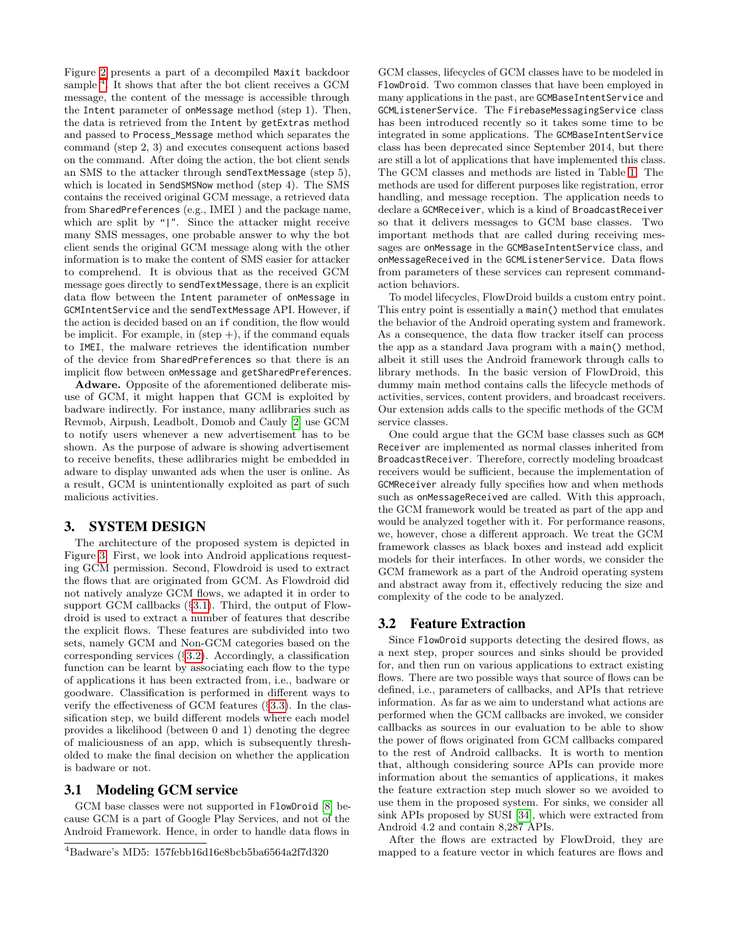Figure [2](#page-3-0) presents a part of a decompiled Maxit backdoor sample <sup>[4](#page-2-1)</sup>. It shows that after the bot client receives a GCM message, the content of the message is accessible through the Intent parameter of onMessage method (step 1). Then, the data is retrieved from the Intent by getExtras method and passed to Process\_Message method which separates the command (step 2, 3) and executes consequent actions based on the command. After doing the action, the bot client sends an SMS to the attacker through sendTextMessage (step 5), which is located in SendSMSNow method (step 4). The SMS contains the received original GCM message, a retrieved data from SharedPreferences (e.g., IMEI ) and the package name, which are split by "|". Since the attacker might receive many SMS messages, one probable answer to why the bot client sends the original GCM message along with the other information is to make the content of SMS easier for attacker to comprehend. It is obvious that as the received GCM message goes directly to sendTextMessage, there is an explicit data flow between the Intent parameter of onMessage in GCMIntentService and the sendTextMessage API. However, if the action is decided based on an if condition, the flow would be implicit. For example, in  $(\text{step } +)$ , if the command equals to IMEI, the malware retrieves the identification number of the device from SharedPreferences so that there is an implicit flow between onMessage and getSharedPreferences.

Adware. Opposite of the aforementioned deliberate misuse of GCM, it might happen that GCM is exploited by badware indirectly. For instance, many adlibraries such as Revmob, Airpush, Leadbolt, Domob and Cauly [\[2\]](#page-8-5) use GCM to notify users whenever a new advertisement has to be shown. As the purpose of adware is showing advertisement to receive benefits, these adlibraries might be embedded in adware to display unwanted ads when the user is online. As a result, GCM is unintentionally exploited as part of such malicious activities.

## <span id="page-2-0"></span>3. SYSTEM DESIGN

The architecture of the proposed system is depicted in Figure [3.](#page-3-1) First, we look into Android applications requesting GCM permission. Second, Flowdroid is used to extract the flows that are originated from GCM. As Flowdroid did not natively analyze GCM flows, we adapted it in order to support GCM callbacks  $(\S3.1)$  $(\S3.1)$ . Third, the output of Flowdroid is used to extract a number of features that describe the explicit flows. These features are subdivided into two sets, namely GCM and Non-GCM categories based on the corresponding services (§[3.2\)](#page-2-3). Accordingly, a classification function can be learnt by associating each flow to the type of applications it has been extracted from, i.e., badware or goodware. Classification is performed in different ways to verify the effectiveness of GCM features (§[3.3\)](#page-4-1). In the classification step, we build different models where each model provides a likelihood (between 0 and 1) denoting the degree of maliciousness of an app, which is subsequently thresholded to make the final decision on whether the application is badware or not.

## <span id="page-2-2"></span>3.1 Modeling GCM service

GCM base classes were not supported in FlowDroid [\[8\]](#page-8-6) because GCM is a part of Google Play Services, and not of the Android Framework. Hence, in order to handle data flows in

GCM classes, lifecycles of GCM classes have to be modeled in FlowDroid. Two common classes that have been employed in many applications in the past, are GCMBaseIntentService and GCMListenerService. The FirebaseMessagingService class has been introduced recently so it takes some time to be integrated in some applications. The GCMBaseIntentService class has been deprecated since September 2014, but there are still a lot of applications that have implemented this class. The GCM classes and methods are listed in Table [1.](#page-3-2) The methods are used for different purposes like registration, error handling, and message reception. The application needs to declare a GCMReceiver, which is a kind of BroadcastReceiver so that it delivers messages to GCM base classes. Two important methods that are called during receiving messages are onMessage in the GCMBaseIntentService class, and onMessageReceived in the GCMListenerService. Data flows from parameters of these services can represent commandaction behaviors.

To model lifecycles, FlowDroid builds a custom entry point. This entry point is essentially a main() method that emulates the behavior of the Android operating system and framework. As a consequence, the data flow tracker itself can process the app as a standard Java program with a main() method, albeit it still uses the Android framework through calls to library methods. In the basic version of FlowDroid, this dummy main method contains calls the lifecycle methods of activities, services, content providers, and broadcast receivers. Our extension adds calls to the specific methods of the GCM service classes.

One could argue that the GCM base classes such as GCM Receiver are implemented as normal classes inherited from BroadcastReceiver. Therefore, correctly modeling broadcast receivers would be sufficient, because the implementation of GCMReceiver already fully specifies how and when methods such as onMessageReceived are called. With this approach, the GCM framework would be treated as part of the app and would be analyzed together with it. For performance reasons, we, however, chose a different approach. We treat the GCM framework classes as black boxes and instead add explicit models for their interfaces. In other words, we consider the GCM framework as a part of the Android operating system and abstract away from it, effectively reducing the size and complexity of the code to be analyzed.

## <span id="page-2-3"></span>3.2 Feature Extraction

Since FlowDroid supports detecting the desired flows, as a next step, proper sources and sinks should be provided for, and then run on various applications to extract existing flows. There are two possible ways that source of flows can be defined, i.e., parameters of callbacks, and APIs that retrieve information. As far as we aim to understand what actions are performed when the GCM callbacks are invoked, we consider callbacks as sources in our evaluation to be able to show the power of flows originated from GCM callbacks compared to the rest of Android callbacks. It is worth to mention that, although considering source APIs can provide more information about the semantics of applications, it makes the feature extraction step much slower so we avoided to use them in the proposed system. For sinks, we consider all sink APIs proposed by SUSI [\[34\]](#page-9-5), which were extracted from Android 4.2 and contain 8,287 APIs.

After the flows are extracted by FlowDroid, they are mapped to a feature vector in which features are flows and

<span id="page-2-1"></span><sup>4</sup>Badware's MD5: 157febb16d16e8bcb5ba6564a2f7d320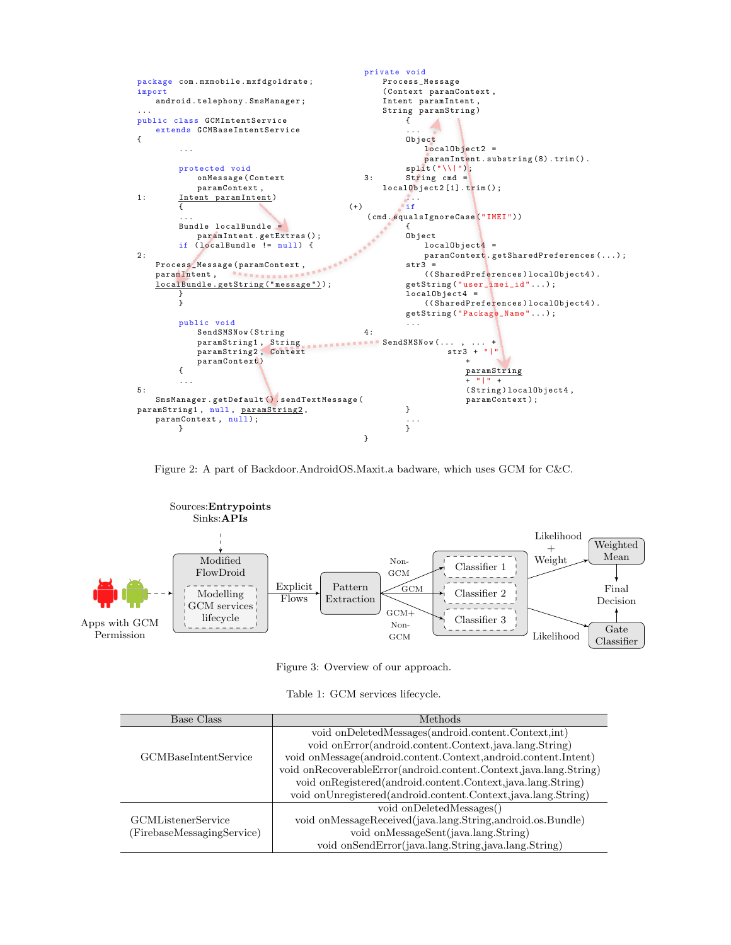<span id="page-3-0"></span>

Figure 2: A part of Backdoor.AndroidOS.Maxit.a badware, which uses GCM for C&C.

<span id="page-3-1"></span>

Figure 3: Overview of our approach.

Table 1: GCM services lifecycle.

<span id="page-3-2"></span>

| Base Class                  | Methods                                                           |  |  |
|-----------------------------|-------------------------------------------------------------------|--|--|
|                             | void onDeletedMessages(android.content.Context,int)               |  |  |
|                             | void onError(android.content.Context,java.lang.String)            |  |  |
| <b>GCMBaseIntentService</b> | void onMessage(android.content.Context,android.content.Intent)    |  |  |
|                             | void onRecoverableError(android.content.Context,java.lang.String) |  |  |
|                             | void onRegistered(android.content.Context.java.lang.String)       |  |  |
|                             | void on Unregistered (android.content.Context, java.lang.String)  |  |  |
|                             | void onDeletedMessages()                                          |  |  |
| <b>GCML</b> istenerService  | void on MessageReceived(java.lang.String, android.os.Bundle)      |  |  |
| (FirebaseMessagingService)  | void onMessageSent(java.lang.String)                              |  |  |
|                             | void onSendError(java.lang.String,java.lang.String)               |  |  |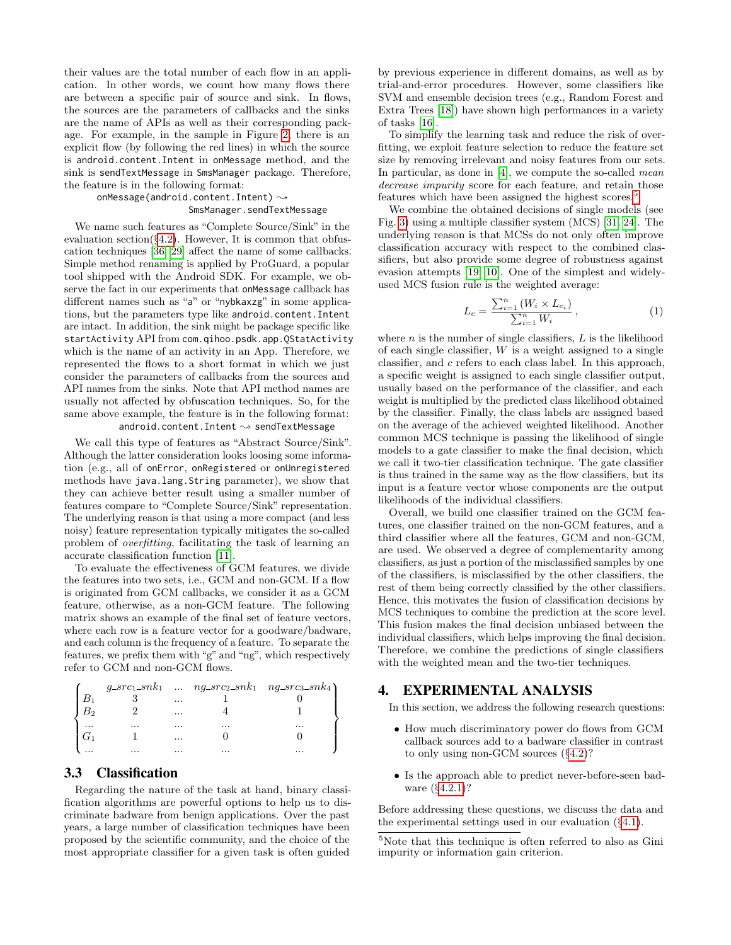their values are the total number of each flow in an application. In other words, we count how many flows there are between a specific pair of source and sink. In flows, the sources are the parameters of callbacks and the sinks are the name of APIs as well as their corresponding package. For example, in the sample in Figure [2,](#page-3-0) there is an explicit flow (by following the red lines) in which the source is android.content.Intent in onMessage method, and the sink is sendTextMessage in SmsManager package. Therefore, the feature is in the following format:

#### onMessage(android.content.Intent)  $\rightsquigarrow$ SmsManager.sendTextMessage

We name such features as "Complete Source/Sink" in the evaluation section( $\S 4.2$ ). However, It is common that obfuscation techniques [\[36,](#page-9-6) [29\]](#page-9-7) affect the name of some callbacks. Simple method renaming is applied by ProGuard, a popular tool shipped with the Android SDK. For example, we observe the fact in our experiments that onMessage callback has different names such as "a" or "nybkaxzg" in some applications, but the parameters type like android.content.Intent are intact. In addition, the sink might be package specific like startActivity API from com.qihoo.psdk.app.QStatActivity which is the name of an activity in an App. Therefore, we represented the flows to a short format in which we just consider the parameters of callbacks from the sources and API names from the sinks. Note that API method names are usually not affected by obfuscation techniques. So, for the same above example, the feature is in the following format: android.content.Intent  $\rightsquigarrow$  sendTextMessage

We call this type of features as "Abstract Source/Sink". Although the latter consideration looks loosing some information (e.g., all of onError, onRegistered or onUnregistered methods have java.lang.String parameter), we show that they can achieve better result using a smaller number of features compare to "Complete Source/Sink" representation. The underlying reason is that using a more compact (and less noisy) feature representation typically mitigates the so-called problem of overfitting, facilitating the task of learning an accurate classification function [\[11\]](#page-8-7).

To evaluate the effectiveness of GCM features, we divide the features into two sets, i.e., GCM and non-GCM. If a flow is originated from GCM callbacks, we consider it as a GCM feature, otherwise, as a non-GCM feature. The following matrix shows an example of the final set of feature vectors, where each row is a feature vector for a goodware/badware, and each column is the frequency of a feature. To separate the features, we prefix them with "g" and "ng", which respectively refer to GCM and non-GCM flows.

|                |   |          | $g\_src_1\_snk_1$ $ng\_src_2\_snk_1$ $ng\_src_3\_snk_4$ |
|----------------|---|----------|---------------------------------------------------------|
|                | . |          |                                                         |
| B <sub>2</sub> | . |          |                                                         |
| $\ddots$       | . | $\cdots$ | $\cdots$                                                |
| $\mid G_1$     |   |          |                                                         |
|                |   |          | $\cdots$                                                |

#### <span id="page-4-1"></span>3.3 Classification

Regarding the nature of the task at hand, binary classification algorithms are powerful options to help us to discriminate badware from benign applications. Over the past years, a large number of classification techniques have been proposed by the scientific community, and the choice of the most appropriate classifier for a given task is often guided

by previous experience in different domains, as well as by trial-and-error procedures. However, some classifiers like SVM and ensemble decision trees (e.g., Random Forest and Extra Trees [\[18\]](#page-9-8)) have shown high performances in a variety of tasks [\[16\]](#page-9-9).

To simplify the learning task and reduce the risk of overfitting, we exploit feature selection to reduce the feature set size by removing irrelevant and noisy features from our sets. In particular, as done in  $[4]$ , we compute the so-called mean decrease impurity score for each feature, and retain those features which have been assigned the highest scores.<sup>[5](#page-4-2)</sup>

We combine the obtained decisions of single models (see Fig. [3\)](#page-3-1) using a multiple classifier system (MCS) [\[31,](#page-9-10) [24\]](#page-9-11). The underlying reason is that MCSs do not only often improve classification accuracy with respect to the combined classifiers, but also provide some degree of robustness against evasion attempts [\[19,](#page-9-12) [10\]](#page-8-9). One of the simplest and widelyused MCS fusion rule is the weighted average:

$$
L_c = \frac{\sum_{i=1}^{n} (W_i \times L_{c_i})}{\sum_{i=1}^{n} W_i},
$$
\n(1)

where  $n$  is the number of single classifiers,  $L$  is the likelihood of each single classifier,  $W$  is a weight assigned to a single classifier, and c refers to each class label. In this approach, a specific weight is assigned to each single classifier output, usually based on the performance of the classifier, and each weight is multiplied by the predicted class likelihood obtained by the classifier. Finally, the class labels are assigned based on the average of the achieved weighted likelihood. Another common MCS technique is passing the likelihood of single models to a gate classifier to make the final decision, which we call it two-tier classification technique. The gate classifier is thus trained in the same way as the flow classifiers, but its input is a feature vector whose components are the output likelihoods of the individual classifiers.

Overall, we build one classifier trained on the GCM features, one classifier trained on the non-GCM features, and a third classifier where all the features, GCM and non-GCM, are used. We observed a degree of complementarity among classifiers, as just a portion of the misclassified samples by one of the classifiers, is misclassified by the other classifiers, the rest of them being correctly classified by the other classifiers. Hence, this motivates the fusion of classification decisions by MCS techniques to combine the prediction at the score level. This fusion makes the final decision unbiased between the individual classifiers, which helps improving the final decision. Therefore, we combine the predictions of single classifiers with the weighted mean and the two-tier techniques.

## <span id="page-4-0"></span>4. EXPERIMENTAL ANALYSIS

In this section, we address the following research questions:

- How much discriminatory power do flows from GCM callback sources add to a badware classifier in contrast to only using non-GCM sources (§[4.2\)](#page-5-0)?
- Is the approach able to predict never-before-seen badware (§[4.2.1\)](#page-5-1)?

Before addressing these questions, we discuss the data and the experimental settings used in our evaluation (§[4.1\)](#page-5-2).

<span id="page-4-2"></span> $5$ Note that this technique is often referred to also as Gini impurity or information gain criterion.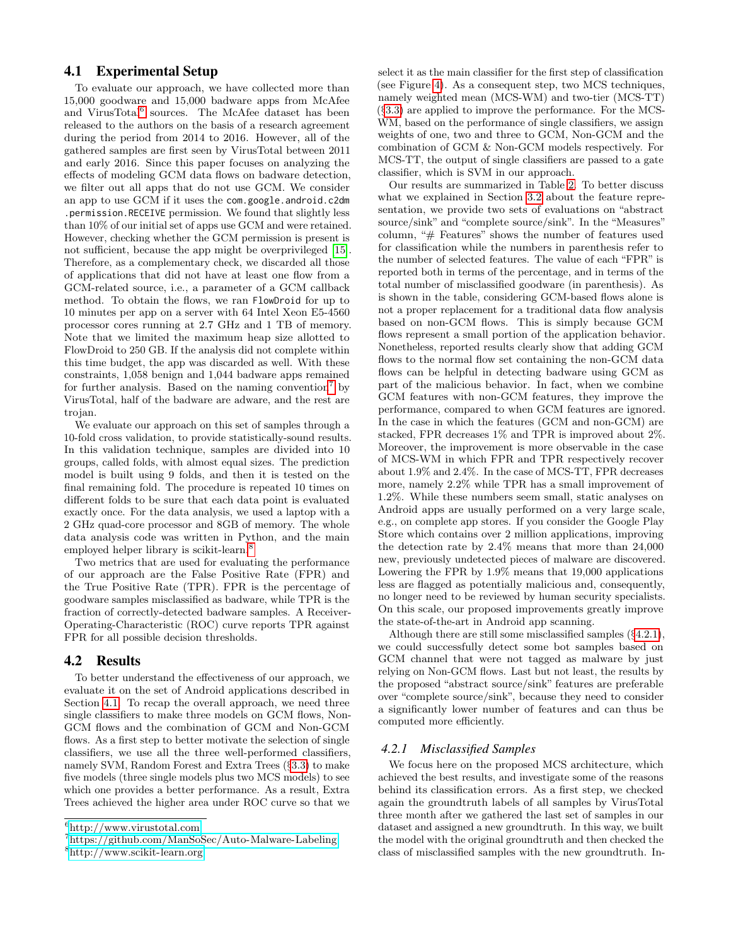# <span id="page-5-2"></span>4.1 Experimental Setup

To evaluate our approach, we have collected more than 15,000 goodware and 15,000 badware apps from McAfee and VirusTotal<sup>[6](#page-5-3)</sup> sources. The McAfee dataset has been released to the authors on the basis of a research agreement during the period from 2014 to 2016. However, all of the gathered samples are first seen by VirusTotal between 2011 and early 2016. Since this paper focuses on analyzing the effects of modeling GCM data flows on badware detection, we filter out all apps that do not use GCM. We consider an app to use GCM if it uses the com.google.android.c2dm .permission.RECEIVE permission. We found that slightly less than 10% of our initial set of apps use GCM and were retained. However, checking whether the GCM permission is present is not sufficient, because the app might be overprivileged [\[15\]](#page-9-13). Therefore, as a complementary check, we discarded all those of applications that did not have at least one flow from a GCM-related source, i.e., a parameter of a GCM callback method. To obtain the flows, we ran FlowDroid for up to 10 minutes per app on a server with 64 Intel Xeon E5-4560 processor cores running at 2.7 GHz and 1 TB of memory. Note that we limited the maximum heap size allotted to FlowDroid to 250 GB. If the analysis did not complete within this time budget, the app was discarded as well. With these constraints, 1,058 benign and 1,044 badware apps remained for further analysis. Based on the naming convention<sup>[7](#page-5-4)</sup> by VirusTotal, half of the badware are adware, and the rest are trojan.

We evaluate our approach on this set of samples through a 10-fold cross validation, to provide statistically-sound results. In this validation technique, samples are divided into 10 groups, called folds, with almost equal sizes. The prediction model is built using 9 folds, and then it is tested on the final remaining fold. The procedure is repeated 10 times on different folds to be sure that each data point is evaluated exactly once. For the data analysis, we used a laptop with a 2 GHz quad-core processor and 8GB of memory. The whole data analysis code was written in Python, and the main employed helper library is scikit-learn.<sup>[8](#page-5-5)</sup>

Two metrics that are used for evaluating the performance of our approach are the False Positive Rate (FPR) and the True Positive Rate (TPR). FPR is the percentage of goodware samples misclassified as badware, while TPR is the fraction of correctly-detected badware samples. A Receiver-Operating-Characteristic (ROC) curve reports TPR against FPR for all possible decision thresholds.

## <span id="page-5-0"></span>4.2 Results

To better understand the effectiveness of our approach, we evaluate it on the set of Android applications described in Section [4.1.](#page-5-2) To recap the overall approach, we need three single classifiers to make three models on GCM flows, Non-GCM flows and the combination of GCM and Non-GCM flows. As a first step to better motivate the selection of single classifiers, we use all the three well-performed classifiers, namely SVM, Random Forest and Extra Trees (§[3.3\)](#page-4-1) to make five models (three single models plus two MCS models) to see which one provides a better performance. As a result, Extra Trees achieved the higher area under ROC curve so that we

select it as the main classifier for the first step of classification (see Figure [4\)](#page-6-0). As a consequent step, two MCS techniques, namely weighted mean (MCS-WM) and two-tier (MCS-TT) (§[3.3\)](#page-4-1) are applied to improve the performance. For the MCS-WM, based on the performance of single classifiers, we assign weights of one, two and three to GCM, Non-GCM and the combination of GCM & Non-GCM models respectively. For MCS-TT, the output of single classifiers are passed to a gate classifier, which is SVM in our approach.

Our results are summarized in Table [2.](#page-6-1) To better discuss what we explained in Section [3.2](#page-2-3) about the feature representation, we provide two sets of evaluations on "abstract source/sink" and "complete source/sink". In the "Measures" column, "# Features" shows the number of features used for classification while the numbers in parenthesis refer to the number of selected features. The value of each "FPR" is reported both in terms of the percentage, and in terms of the total number of misclassified goodware (in parenthesis). As is shown in the table, considering GCM-based flows alone is not a proper replacement for a traditional data flow analysis based on non-GCM flows. This is simply because GCM flows represent a small portion of the application behavior. Nonetheless, reported results clearly show that adding GCM flows to the normal flow set containing the non-GCM data flows can be helpful in detecting badware using GCM as part of the malicious behavior. In fact, when we combine GCM features with non-GCM features, they improve the performance, compared to when GCM features are ignored. In the case in which the features (GCM and non-GCM) are stacked, FPR decreases 1% and TPR is improved about 2%. Moreover, the improvement is more observable in the case of MCS-WM in which FPR and TPR respectively recover about 1.9% and 2.4%. In the case of MCS-TT, FPR decreases more, namely 2.2% while TPR has a small improvement of 1.2%. While these numbers seem small, static analyses on Android apps are usually performed on a very large scale, e.g., on complete app stores. If you consider the Google Play Store which contains over 2 million applications, improving the detection rate by 2.4% means that more than 24,000 new, previously undetected pieces of malware are discovered. Lowering the FPR by 1.9% means that 19,000 applications less are flagged as potentially malicious and, consequently, no longer need to be reviewed by human security specialists. On this scale, our proposed improvements greatly improve the state-of-the-art in Android app scanning.

Although there are still some misclassified samples (§[4.2.1\)](#page-5-1), we could successfully detect some bot samples based on GCM channel that were not tagged as malware by just relying on Non-GCM flows. Last but not least, the results by the proposed "abstract source/sink" features are preferable over "complete source/sink", because they need to consider a significantly lower number of features and can thus be computed more efficiently.

#### <span id="page-5-1"></span>*4.2.1 Misclassified Samples*

We focus here on the proposed MCS architecture, which achieved the best results, and investigate some of the reasons behind its classification errors. As a first step, we checked again the groundtruth labels of all samples by VirusTotal three month after we gathered the last set of samples in our dataset and assigned a new groundtruth. In this way, we built the model with the original groundtruth and then checked the class of misclassified samples with the new groundtruth. In-

<span id="page-5-3"></span><sup>6</sup><http://www.virustotal.com>

<span id="page-5-4"></span><sup>7</sup><https://github.com/ManSoSec/Auto-Malware-Labeling>

<span id="page-5-5"></span><sup>8</sup><http://www.scikit-learn.org>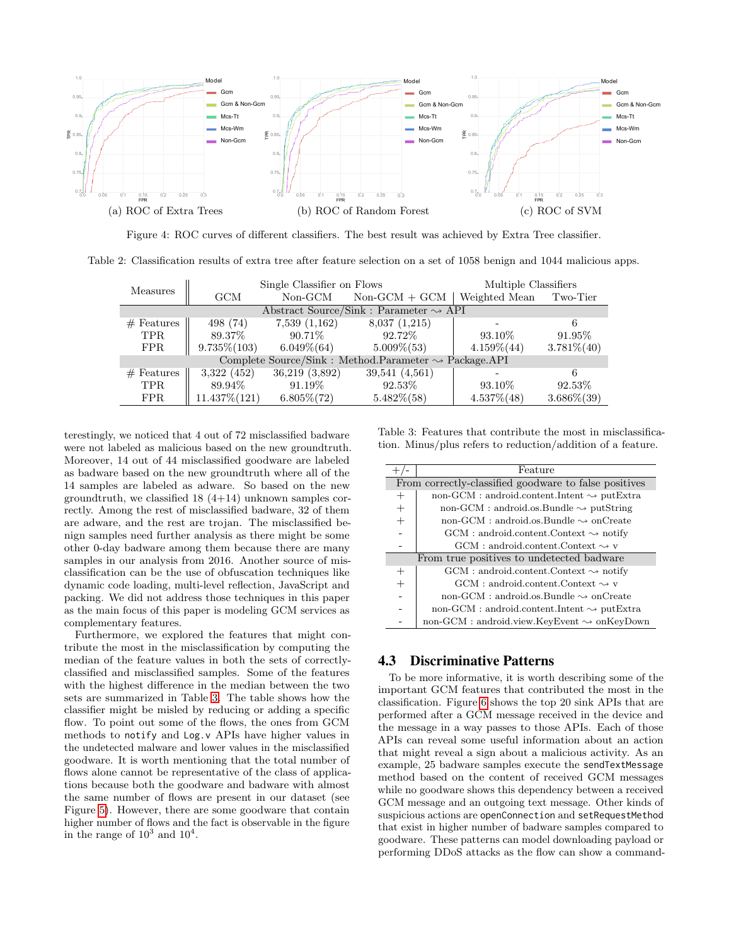<span id="page-6-0"></span>

Figure 4: ROC curves of different classifiers. The best result was achieved by Extra Tree classifier.

<span id="page-6-1"></span>Table 2: Classification results of extra tree after feature selection on a set of 1058 benign and 1044 malicious apps.

| Measures     | Single Classifier on Flows                                 |                  |                                             | Multiple Classifiers |                |
|--------------|------------------------------------------------------------|------------------|---------------------------------------------|----------------------|----------------|
|              | <b>GCM</b>                                                 | $Non-GCM$        | $Non-GCM + GCM$                             | Weighted Mean        | Two-Tier       |
|              |                                                            |                  | Abstract Source/Sink : Parameter $\sim$ API |                      |                |
| $#$ Features | 498 (74)                                                   | 7,539(1,162)     | 8,037(1,215)                                |                      | 6              |
| TPR.         | 89.37\%                                                    | 90.71\%          | 92.72\%                                     | 93.10\%              | 91.95%         |
| FPR.         | $9.735\%(103)$                                             | $6.049\%(64)$    | $5.009\%(53)$                               | $4.159\% (44)$       | $3.781\% (40)$ |
|              | Complete Source/Sink : Method.Parameter $\sim$ Package.API |                  |                                             |                      |                |
| $#$ Features | 3,322(452)                                                 | 36,219 (3,892)   | 39,541 (4,561)                              |                      | 6              |
| <b>TPR</b>   | 89.94%                                                     | 91.19%           | 92.53%                                      | 93.10\%              | 92.53%         |
| FPR.         | 11.437% (121)                                              | $6.805\%$ $(72)$ | $5.482\%(58)$                               | $4.537\%$ $(48)$     | $3.686\%(39)$  |

terestingly, we noticed that 4 out of 72 misclassified badware were not labeled as malicious based on the new groundtruth. Moreover, 14 out of 44 misclassified goodware are labeled as badware based on the new groundtruth where all of the 14 samples are labeled as adware. So based on the new groundtruth, we classified 18 (4+14) unknown samples correctly. Among the rest of misclassified badware, 32 of them are adware, and the rest are trojan. The misclassified benign samples need further analysis as there might be some other 0-day badware among them because there are many samples in our analysis from 2016. Another source of misclassification can be the use of obfuscation techniques like dynamic code loading, multi-level reflection, JavaScript and packing. We did not address those techniques in this paper as the main focus of this paper is modeling GCM services as complementary features.

Furthermore, we explored the features that might contribute the most in the misclassification by computing the median of the feature values in both the sets of correctlyclassified and misclassified samples. Some of the features with the highest difference in the median between the two sets are summarized in Table [3.](#page-6-2) The table shows how the classifier might be misled by reducing or adding a specific flow. To point out some of the flows, the ones from GCM methods to notify and Log.v APIs have higher values in the undetected malware and lower values in the misclassified goodware. It is worth mentioning that the total number of flows alone cannot be representative of the class of applications because both the goodware and badware with almost the same number of flows are present in our dataset (see Figure [5\)](#page-7-1). However, there are some goodware that contain higher number of flows and the fact is observable in the figure in the range of  $10^3$  and  $10^4$ .

<span id="page-6-2"></span>Table 3: Features that contribute the most in misclassification. Minus/plus refers to reduction/addition of a feature.

|                                                       | Feature                                                  |  |  |
|-------------------------------------------------------|----------------------------------------------------------|--|--|
| From correctly-classified goodware to false positives |                                                          |  |  |
| $^{+}$                                                | non-GCM : android.content.Intent $\sim$ put Extra        |  |  |
| $^{+}$                                                | non-GCM : android.os.Bundle $\rightsquigarrow$ putString |  |  |
| $^{+}$                                                | non-GCM : android.os.Bundle $\sim$ onCreate              |  |  |
|                                                       | $GCM$ : android.content.Context $\sim$ notify            |  |  |
|                                                       | $GCM:$ android.content.Context $\sim v$                  |  |  |
|                                                       | From true positives to undetected badware                |  |  |
| $^{+}$                                                | $GCM$ : android.content.Context $\sim$ notify            |  |  |
| $^{+}$                                                | $GCM:$ android.content.Context $\sim v$                  |  |  |
|                                                       | non-GCM : android.os.Bundle $\sim$ onCreate              |  |  |
|                                                       | non-GCM : android.content.Intent $\sim$ put Extra        |  |  |
|                                                       | non-GCM : android.view.KeyEvent $\sim$ onKeyDown         |  |  |

## 4.3 Discriminative Patterns

To be more informative, it is worth describing some of the important GCM features that contributed the most in the classification. Figure [6](#page-8-10) shows the top 20 sink APIs that are performed after a GCM message received in the device and the message in a way passes to those APIs. Each of those APIs can reveal some useful information about an action that might reveal a sign about a malicious activity. As an example, 25 badware samples execute the sendTextMessage method based on the content of received GCM messages while no goodware shows this dependency between a received GCM message and an outgoing text message. Other kinds of suspicious actions are openConnection and setRequestMethod that exist in higher number of badware samples compared to goodware. These patterns can model downloading payload or performing DDoS attacks as the flow can show a command-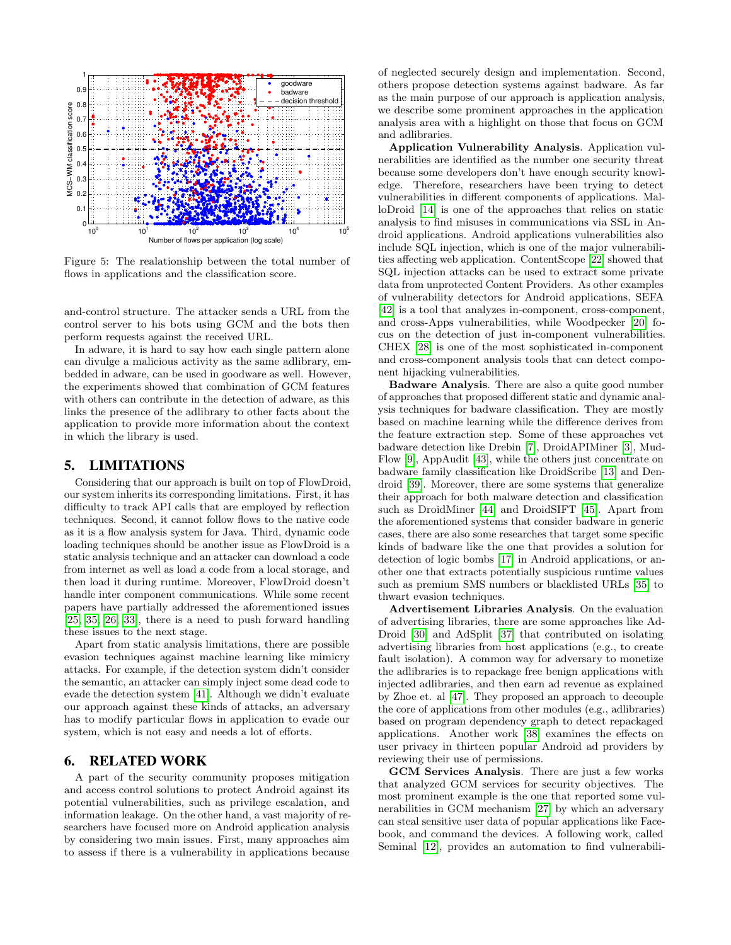<span id="page-7-1"></span>

Figure 5: The realationship between the total number of flows in applications and the classification score.

and-control structure. The attacker sends a URL from the control server to his bots using GCM and the bots then perform requests against the received URL.

In adware, it is hard to say how each single pattern alone can divulge a malicious activity as the same adlibrary, embedded in adware, can be used in goodware as well. However, the experiments showed that combination of GCM features with others can contribute in the detection of adware, as this links the presence of the adlibrary to other facts about the application to provide more information about the context in which the library is used.

# 5. LIMITATIONS

Considering that our approach is built on top of FlowDroid, our system inherits its corresponding limitations. First, it has difficulty to track API calls that are employed by reflection techniques. Second, it cannot follow flows to the native code as it is a flow analysis system for Java. Third, dynamic code loading techniques should be another issue as FlowDroid is a static analysis technique and an attacker can download a code from internet as well as load a code from a local storage, and then load it during runtime. Moreover, FlowDroid doesn't handle inter component communications. While some recent papers have partially addressed the aforementioned issues [\[25,](#page-9-14) [35,](#page-9-15) [26,](#page-9-16) [33\]](#page-9-17), there is a need to push forward handling these issues to the next stage.

Apart from static analysis limitations, there are possible evasion techniques against machine learning like mimicry attacks. For example, if the detection system didn't consider the semantic, an attacker can simply inject some dead code to evade the detection system [\[41\]](#page-9-18). Although we didn't evaluate our approach against these kinds of attacks, an adversary has to modify particular flows in application to evade our system, which is not easy and needs a lot of efforts.

# <span id="page-7-0"></span>6. RELATED WORK

A part of the security community proposes mitigation and access control solutions to protect Android against its potential vulnerabilities, such as privilege escalation, and information leakage. On the other hand, a vast majority of researchers have focused more on Android application analysis by considering two main issues. First, many approaches aim to assess if there is a vulnerability in applications because

of neglected securely design and implementation. Second, others propose detection systems against badware. As far as the main purpose of our approach is application analysis, we describe some prominent approaches in the application analysis area with a highlight on those that focus on GCM and adlibraries.

Application Vulnerability Analysis. Application vulnerabilities are identified as the number one security threat because some developers don't have enough security knowledge. Therefore, researchers have been trying to detect vulnerabilities in different components of applications. MalloDroid [\[14\]](#page-9-19) is one of the approaches that relies on static analysis to find misuses in communications via SSL in Android applications. Android applications vulnerabilities also include SQL injection, which is one of the major vulnerabilities affecting web application. ContentScope [\[22\]](#page-9-20) showed that SQL injection attacks can be used to extract some private data from unprotected Content Providers. As other examples of vulnerability detectors for Android applications, SEFA [\[42\]](#page-9-21) is a tool that analyzes in-component, cross-component, and cross-Apps vulnerabilities, while Woodpecker [\[20\]](#page-9-22) focus on the detection of just in-component vulnerabilities. CHEX [\[28\]](#page-9-23) is one of the most sophisticated in-component and cross-component analysis tools that can detect component hijacking vulnerabilities.

Badware Analysis. There are also a quite good number of approaches that proposed different static and dynamic analysis techniques for badware classification. They are mostly based on machine learning while the difference derives from the feature extraction step. Some of these approaches vet badware detection like Drebin [\[7\]](#page-8-1), DroidAPIMiner [\[3\]](#page-8-11), Mud-Flow [\[9\]](#page-8-12), AppAudit [\[43\]](#page-9-24), while the others just concentrate on badware family classification like DroidScribe [\[13\]](#page-8-13) and Dendroid [\[39\]](#page-9-25). Moreover, there are some systems that generalize their approach for both malware detection and classification such as DroidMiner [\[44\]](#page-9-26) and DroidSIFT [\[45\]](#page-9-27). Apart from the aforementioned systems that consider badware in generic cases, there are also some researches that target some specific kinds of badware like the one that provides a solution for detection of logic bombs [\[17\]](#page-9-28) in Android applications, or another one that extracts potentially suspicious runtime values such as premium SMS numbers or blacklisted URLs [\[35\]](#page-9-15) to thwart evasion techniques.

Advertisement Libraries Analysis. On the evaluation of advertising libraries, there are some approaches like Ad-Droid [\[30\]](#page-9-29) and AdSplit [\[37\]](#page-9-30) that contributed on isolating advertising libraries from host applications (e.g., to create fault isolation). A common way for adversary to monetize the adlibraries is to repackage free benign applications with injected adlibraries, and then earn ad revenue as explained by Zhoe et. al [\[47\]](#page-9-31). They proposed an approach to decouple the core of applications from other modules (e.g., adlibraries) based on program dependency graph to detect repackaged applications. Another work [\[38\]](#page-9-32) examines the effects on user privacy in thirteen popular Android ad providers by reviewing their use of permissions.

GCM Services Analysis. There are just a few works that analyzed GCM services for security objectives. The most prominent example is the one that reported some vulnerabilities in GCM mechanism [\[27\]](#page-9-33) by which an adversary can steal sensitive user data of popular applications like Facebook, and command the devices. A following work, called Seminal [\[12\]](#page-8-14), provides an automation to find vulnerabili-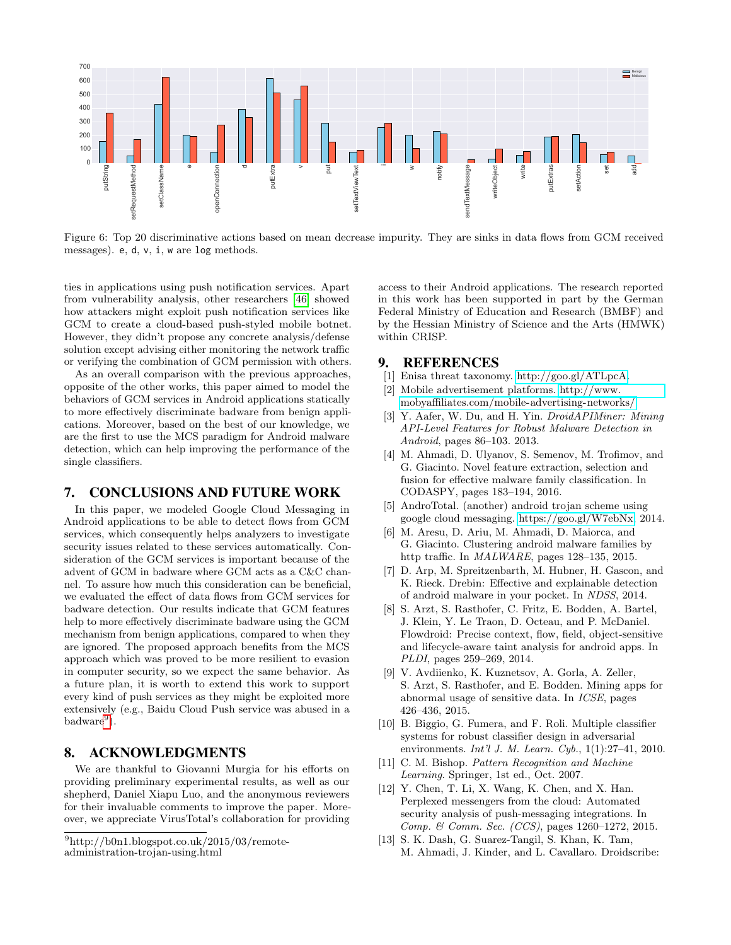<span id="page-8-10"></span>

Figure 6: Top 20 discriminative actions based on mean decrease impurity. They are sinks in data flows from GCM received messages). e, d, v, i, w are log methods.

ties in applications using push notification services. Apart from vulnerability analysis, other researchers [\[46\]](#page-9-2) showed how attackers might exploit push notification services like GCM to create a cloud-based push-styled mobile botnet. However, they didn't propose any concrete analysis/defense solution except advising either monitoring the network traffic or verifying the combination of GCM permission with others.

As an overall comparison with the previous approaches, opposite of the other works, this paper aimed to model the behaviors of GCM services in Android applications statically to more effectively discriminate badware from benign applications. Moreover, based on the best of our knowledge, we are the first to use the MCS paradigm for Android malware detection, which can help improving the performance of the single classifiers.

## <span id="page-8-3"></span>7. CONCLUSIONS AND FUTURE WORK

In this paper, we modeled Google Cloud Messaging in Android applications to be able to detect flows from GCM services, which consequently helps analyzers to investigate security issues related to these services automatically. Consideration of the GCM services is important because of the advent of GCM in badware where GCM acts as a C&C channel. To assure how much this consideration can be beneficial, we evaluated the effect of data flows from GCM services for badware detection. Our results indicate that GCM features help to more effectively discriminate badware using the GCM mechanism from benign applications, compared to when they are ignored. The proposed approach benefits from the MCS approach which was proved to be more resilient to evasion in computer security, so we expect the same behavior. As a future plan, it is worth to extend this work to support every kind of push services as they might be exploited more extensively (e.g., Baidu Cloud Push service was abused in a badware<sup>[9](#page-8-15)</sup>).

#### 8. ACKNOWLEDGMENTS

We are thankful to Giovanni Murgia for his efforts on providing preliminary experimental results, as well as our shepherd, Daniel Xiapu Luo, and the anonymous reviewers for their invaluable comments to improve the paper. Moreover, we appreciate VirusTotal's collaboration for providing

<span id="page-8-15"></span> $^{9}$ http://b0n1.blogspot.co.uk/2015/03/remoteadministration-trojan-using.html

access to their Android applications. The research reported in this work has been supported in part by the German Federal Ministry of Education and Research (BMBF) and by the Hessian Ministry of Science and the Arts (HMWK) within CRISP.

#### 9. REFERENCES

- <span id="page-8-0"></span>[1] Enisa threat taxonomy. [http://goo.gl/ATLpcA.](http://goo.gl/ATLpcA)
- <span id="page-8-5"></span>[2] Mobile advertisement platforms. [http://www.](http://www.mobyaffiliates.com/mobile-advertising-networks/) [mobyaffiliates.com/mobile-advertising-networks/.](http://www.mobyaffiliates.com/mobile-advertising-networks/)
- <span id="page-8-11"></span>[3] Y. Aafer, W. Du, and H. Yin. DroidAPIMiner: Mining API-Level Features for Robust Malware Detection in Android, pages 86–103. 2013.
- <span id="page-8-8"></span>[4] M. Ahmadi, D. Ulyanov, S. Semenov, M. Trofimov, and G. Giacinto. Novel feature extraction, selection and fusion for effective malware family classification. In CODASPY, pages 183–194, 2016.
- <span id="page-8-2"></span>[5] AndroTotal. (another) android trojan scheme using google cloud messaging. [https://goo.gl/W7ebNx,](https://goo.gl/W7ebNx) 2014.
- <span id="page-8-4"></span>[6] M. Aresu, D. Ariu, M. Ahmadi, D. Maiorca, and G. Giacinto. Clustering android malware families by http traffic. In MALWARE, pages 128–135, 2015.
- <span id="page-8-1"></span>[7] D. Arp, M. Spreitzenbarth, M. Hubner, H. Gascon, and K. Rieck. Drebin: Effective and explainable detection of android malware in your pocket. In NDSS, 2014.
- <span id="page-8-6"></span>[8] S. Arzt, S. Rasthofer, C. Fritz, E. Bodden, A. Bartel, J. Klein, Y. Le Traon, D. Octeau, and P. McDaniel. Flowdroid: Precise context, flow, field, object-sensitive and lifecycle-aware taint analysis for android apps. In PLDI, pages 259–269, 2014.
- <span id="page-8-12"></span>[9] V. Avdiienko, K. Kuznetsov, A. Gorla, A. Zeller, S. Arzt, S. Rasthofer, and E. Bodden. Mining apps for abnormal usage of sensitive data. In ICSE, pages 426–436, 2015.
- <span id="page-8-9"></span>[10] B. Biggio, G. Fumera, and F. Roli. Multiple classifier systems for robust classifier design in adversarial environments. Int'l J. M. Learn. Cyb., 1(1):27–41, 2010.
- <span id="page-8-7"></span>[11] C. M. Bishop. Pattern Recognition and Machine Learning. Springer, 1st ed., Oct. 2007.
- <span id="page-8-14"></span>[12] Y. Chen, T. Li, X. Wang, K. Chen, and X. Han. Perplexed messengers from the cloud: Automated security analysis of push-messaging integrations. In Comp. & Comm. Sec. (CCS), pages 1260–1272, 2015.
- <span id="page-8-13"></span>[13] S. K. Dash, G. Suarez-Tangil, S. Khan, K. Tam, M. Ahmadi, J. Kinder, and L. Cavallaro. Droidscribe: